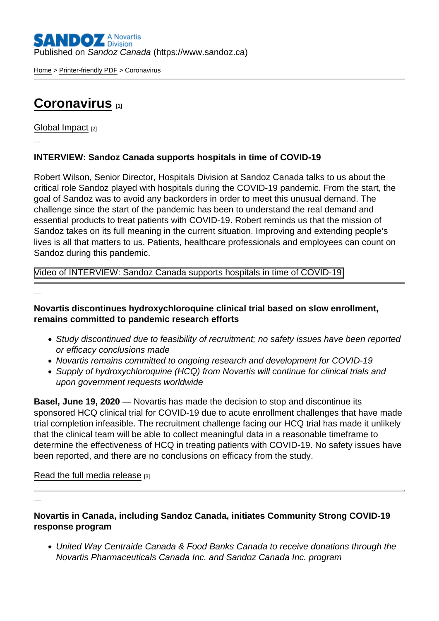[Home](https://www.sandoz.ca/en) > [Printer-friendly PDF](https://www.sandoz.ca/en/printpdf) > Coronavirus

## [Coronavirus](https://www.sandoz.ca/en/coronavirus) [1]

[Global Impact](https://www.sandoz.ca/en/stories/global-impact) [2]

INTERVIEW: Sandoz Canada supports hospitals in time of COVID-19

Robert Wilson, Senior Director, Hospitals Division at Sandoz Canada talks to us about the critical role Sandoz played with hospitals during the COVID-19 pandemic. From the start, the goal of Sandoz was to avoid any backorders in order to meet this unusual demand. The challenge since the start of the pandemic has been to understand the real demand and essential products to treat patients with COVID-19. Robert reminds us that the mission of Sandoz takes on its full meaning in the current situation. Improving and extending people's lives is all that matters to us. Patients, healthcare professionals and employees can count on Sandoz during this pandemic.

Video of INTERVIEW: Sandoz Canada supports hospitals in time of COVID-19

Novartis discontinues hydroxychloroquine clinical trial based on slow enrollment, remains committed to pandemic research efforts

- Study discontinued due to feasibility of recruitment; no safety issues have been reported or efficacy conclusions made
- Novartis remains committed to ongoing research and development for COVID-19
- Supply of hydroxychloroquine (HCQ) from Novartis will continue for clinical trials and upon government requests worldwide

Basel, June 19, 2020 — Novartis has made the decision to stop and discontinue its sponsored HCQ clinical trial for COVID-19 due to acute enrollment challenges that have made trial completion infeasible. The recruitment challenge facing our HCQ trial has made it unlikely that the clinical team will be able to collect meaningful data in a reasonable timeframe to determine the effectiveness of HCQ in treating patients with COVID-19. No safety issues have been reported, and there are no conclusions on efficacy from the study.

[Read the full media release](https://www.novartis.com/news/media-releases/novartis-discontinues-hydroxychloroquine-clinical-trial-based-slow-enrollment-remains-committed-pandemic-research-efforts) [3]

Novartis in Canada, including Sandoz Canada, initiates Community Strong COVID-19 response program

United Way Centraide Canada & Food Banks Canada to receive donations through the Novartis Pharmaceuticals Canada Inc. and Sandoz Canada Inc. program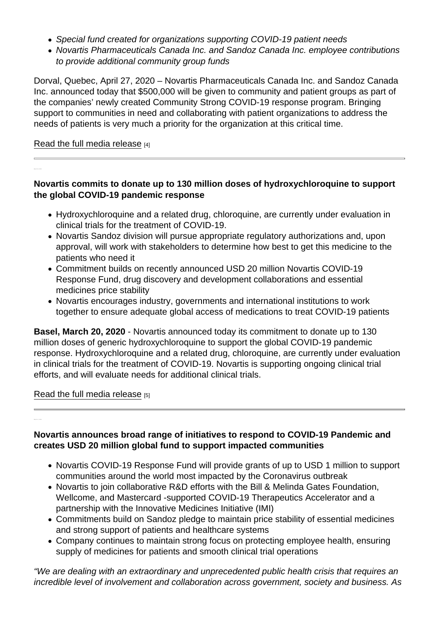- Special fund created for organizations supporting COVID-19 patient needs
- Novartis Pharmaceuticals Canada Inc. and Sandoz Canada Inc. employee contributions to provide additional community group funds

Dorval, Quebec, April 27, 2020 – Novartis Pharmaceuticals Canada Inc. and Sandoz Canada Inc. announced today that \$500,000 will be given to community and patient groups as part of the companies' newly created Community Strong COVID-19 response program. Bringing support to communities in need and collaborating with patient organizations to address the needs of patients is very much a priority for the organization at this critical time.

## [Read the full media release](https://www.sandoz.ca/en/stories/global-impact/novartis-canada-including-sandoz-canada-initiates-community-strong-covid-19) [4]

Novartis commits to donate up to 130 million doses of hydroxychloroquine to support the global COVID-19 pandemic response

- Hydroxychloroquine and a related drug, chloroquine, are currently under evaluation in clinical trials for the treatment of COVID-19.
- Novartis Sandoz division will pursue appropriate regulatory authorizations and, upon approval, will work with stakeholders to determine how best to get this medicine to the patients who need it
- Commitment builds on recently announced USD 20 million Novartis COVID-19 Response Fund, drug discovery and development collaborations and essential medicines price stability
- Novartis encourages industry, governments and international institutions to work together to ensure adequate global access of medications to treat COVID-19 patients

Basel, March 20, 2020 - Novartis announced today its commitment to donate up to 130 million doses of generic hydroxychloroquine to support the global COVID-19 pandemic response. Hydroxychloroquine and a related drug, chloroquine, are currently under evaluation in clinical trials for the treatment of COVID-19. Novartis is supporting ongoing clinical trial efforts, and will evaluate needs for additional clinical trials.

## [Read the full media release](https://www.novartis.com/news/media-releases/novartis-commits-donate-130-million-doses-hydroxychloroquine-support-global-covid-19-pandemic-response) [5]

Novartis announces broad range of initiatives to respond to COVID-19 Pandemic and creates USD 20 million global fund to support impacted communities

- Novartis COVID-19 Response Fund will provide grants of up to USD 1 million to support communities around the world most impacted by the Coronavirus outbreak
- Novartis to join collaborative R&D efforts with the Bill & Melinda Gates Foundation, Wellcome, and Mastercard -supported COVID-19 Therapeutics Accelerator and a partnership with the Innovative Medicines Initiative (IMI)
- Commitments build on Sandoz pledge to maintain price stability of essential medicines and strong support of patients and healthcare systems
- Company continues to maintain strong focus on protecting employee health, ensuring supply of medicines for patients and smooth clinical trial operations

"We are dealing with an extraordinary and unprecedented public health crisis that requires an incredible level of involvement and collaboration across government, society and business. As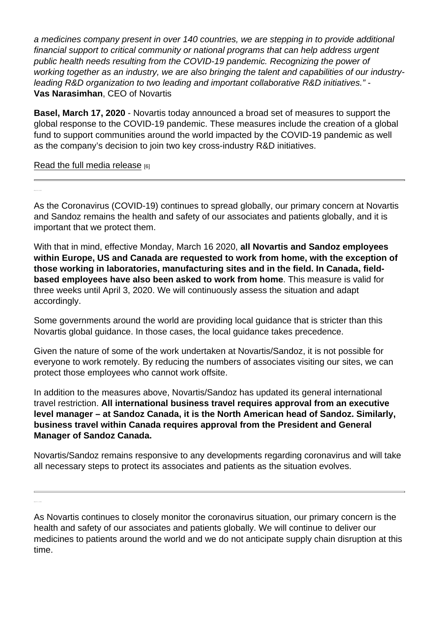a medicines company present in over 140 countries, we are stepping in to provide additional financial support to critical community or national programs that can help address urgent public health needs resulting from the COVID-19 pandemic. Recognizing the power of working together as an industry, we are also bringing the talent and capabilities of our industryleading R&D organization to two leading and important collaborative R&D initiatives." - Vas Narasimhan , CEO of Novartis

Basel, March 17, 2020 - Novartis today announced a broad set of measures to support the global response to the COVID-19 pandemic. These measures include the creation of a global fund to support communities around the world impacted by the COVID-19 pandemic as well as the company's decision to join two key cross-industry R&D initiatives.

[Read the full media release](https://www.novartis.com/news/media-releases/novartis-announces-broad-range-initiatives-respond-covid-19-pandemic-creates-usd-20-million-global-fund-support-impacted-communities) [6]

As the Coronavirus (COVID-19) continues to spread globally, our primary concern at Novartis and Sandoz remains the health and safety of our associates and patients globally, and it is important that we protect them.

With that in mind, effective Monday, March 16 2020, all Novartis and Sandoz employees within Europe, US and Canada are requested to work from home, with the exception of those working in laboratories, manufacturing sites and in the field. In Canada, fieldbased employees have also been asked to work from home . This measure is valid for three weeks until April 3, 2020. We will continuously assess the situation and adapt accordingly.

Some governments around the world are providing local guidance that is stricter than this Novartis global guidance. In those cases, the local guidance takes precedence.

Given the nature of some of the work undertaken at Novartis/Sandoz, it is not possible for everyone to work remotely. By reducing the numbers of associates visiting our sites, we can protect those employees who cannot work offsite.

In addition to the measures above, Novartis/Sandoz has updated its general international travel restriction. All international business travel requires approval from an executive level manager – at Sandoz Canada, it is the North American head of Sandoz. Similarly, business travel within Canada requires approval from the President and General Manager of Sandoz Canada.

Novartis/Sandoz remains responsive to any developments regarding coronavirus and will take all necessary steps to protect its associates and patients as the situation evolves.

As Novartis continues to closely monitor the coronavirus situation, our primary concern is the health and safety of our associates and patients globally. We will continue to deliver our medicines to patients around the world and we do not anticipate supply chain disruption at this time.